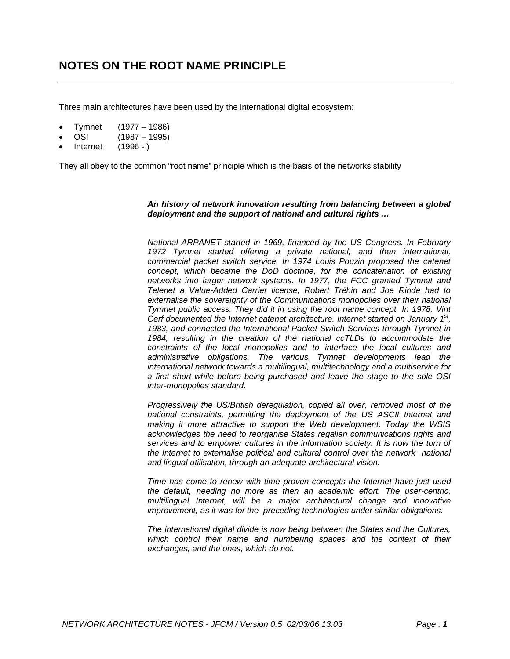Three main architectures have been used by the international digital ecosystem:

- Tymnet (1977 1986)
- OSI (1987 1995)
- Internet (1996 )

They all obey to the common "root name" principle which is the basis of the networks stability

#### *An history of network innovation resulting from balancing between a global deployment and the support of national and cultural rights …*

*National ARPANET started in 1969, financed by the US Congress. In February 1972 Tymnet started offering a private national, and then international, commercial packet switch service. In 1974 Louis Pouzin proposed the catenet concept, which became the DoD doctrine, for the concatenation of existing networks into larger network systems. In 1977, the FCC granted Tymnet and Telenet a Value-Added Carrier license, Robert Tréhin and Joe Rinde had to externalise the sovereignty of the Communications monopolies over their national Tymnet public access. They did it in using the root name concept. In 1978, Vint Cerf documented the Internet catenet architecture. Internet started on January 1st, 1983, and connected the International Packet Switch Services through Tymnet in 1984, resulting in the creation of the national ccTLDs to accommodate the constraints of the local monopolies and to interface the local cultures and administrative obligations. The various Tymnet developments lead the international network towards a multilingual, multitechnology and a multiservice for a first short while before being purchased and leave the stage to the sole OSI inter-monopolies standard.*

*Progressively the US/British deregulation, copied all over, removed most of the national constraints, permitting the deployment of the US ASCII Internet and making it more attractive to support the Web development. Today the WSIS acknowledges the need to reorganise States regalian communications rights and services and to empower cultures in the information society. It is now the turn of the Internet to externalise political and cultural control over the network national and lingual utilisation, through an adequate architectural vision.*

*Time has come to renew with time proven concepts the Internet have just used the default, needing no more as then an academic effort. The user-centric, multilingual Internet, will be a major architectural change and innovative improvement, as it was for the preceding technologies under similar obligations.*

*The international digital divide is now being between the States and the Cultures, which control their name and numbering spaces and the context of their exchanges, and the ones, which do not.*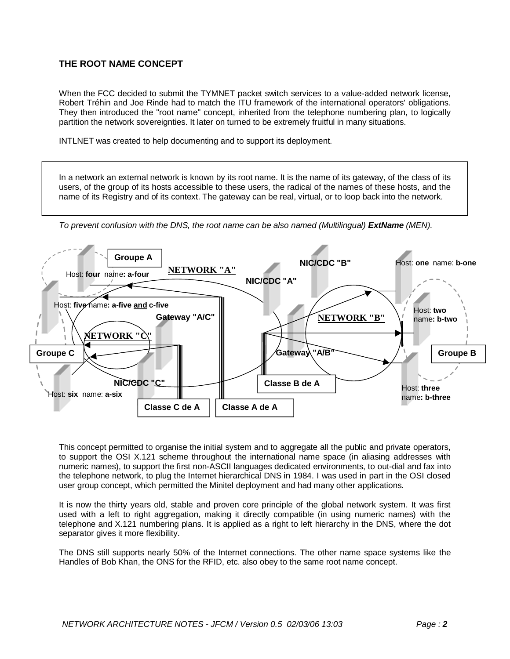# **THE ROOT NAME CONCEPT**

When the FCC decided to submit the TYMNET packet switch services to a value-added network license, Robert Tréhin and Joe Rinde had to match the ITU framework of the international operators' obligations. They then introduced the "root name" concept, inherited from the telephone numbering plan, to logically partition the network sovereignties. It later on turned to be extremely fruitful in many situations.

INTLNET was created to help documenting and to support its deployment.

In a network an external network is known by its root name. It is the name of its gateway, of the class of its users, of the group of its hosts accessible to these users, the radical of the names of these hosts, and the name of its Registry and of its context. The gateway can be real, virtual, or to loop back into the network.





This concept permitted to organise the initial system and to aggregate all the public and private operators, to support the OSI X.121 scheme throughout the international name space (in aliasing addresses with numeric names), to support the first non-ASCII languages dedicated environments, to out-dial and fax into the telephone network, to plug the Internet hierarchical DNS in 1984. I was used in part in the OSI closed user group concept, which permitted the Minitel deployment and had many other applications.

It is now the thirty years old, stable and proven core principle of the global network system. It was first used with a left to right aggregation, making it directly compatible (in using numeric names) with the telephone and X.121 numbering plans. It is applied as a right to left hierarchy in the DNS, where the dot separator gives it more flexibility.

The DNS still supports nearly 50% of the Internet connections. The other name space systems like the Handles of Bob Khan, the ONS for the RFID, etc. also obey to the same root name concept.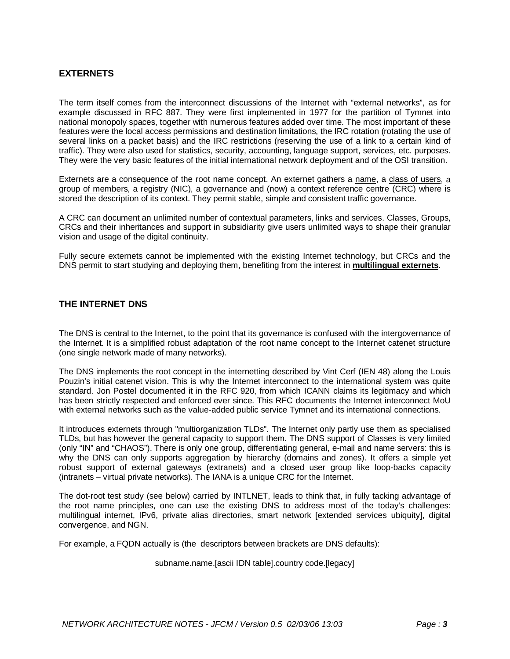# **EXTERNETS**

The term itself comes from the interconnect discussions of the Internet with "external networks", as for example discussed in RFC 887. They were first implemented in 1977 for the partition of Tymnet into national monopoly spaces, together with numerous features added over time. The most important of these features were the local access permissions and destination limitations, the IRC rotation (rotating the use of several links on a packet basis) and the IRC restrictions (reserving the use of a link to a certain kind of traffic). They were also used for statistics, security, accounting, language support, services, etc. purposes. They were the very basic features of the initial international network deployment and of the OSI transition.

Externets are a consequence of the root name concept. An externet gathers a name, a class of users, a group of members, a registry (NIC), a governance and (now) a context reference centre (CRC) where is stored the description of its context. They permit stable, simple and consistent traffic governance.

A CRC can document an unlimited number of contextual parameters, links and services. Classes, Groups, CRCs and their inheritances and support in subsidiarity give users unlimited ways to shape their granular vision and usage of the digital continuity.

Fully secure externets cannot be implemented with the existing Internet technology, but CRCs and the DNS permit to start studying and deploying them, benefiting from the interest in **multilingual externets**.

### **THE INTERNET DNS**

The DNS is central to the Internet, to the point that its governance is confused with the intergovernance of the Internet. It is a simplified robust adaptation of the root name concept to the Internet catenet structure (one single network made of many networks).

The DNS implements the root concept in the internetting described by Vint Cerf (IEN 48) along the Louis Pouzin's initial catenet vision. This is why the Internet interconnect to the international system was quite standard. Jon Postel documented it in the RFC 920, from which ICANN claims its legitimacy and which has been strictly respected and enforced ever since. This RFC documents the Internet interconnect MoU with external networks such as the value-added public service Tymnet and its international connections.

It introduces externets through "multiorganization TLDs". The Internet only partly use them as specialised TLDs, but has however the general capacity to support them. The DNS support of Classes is very limited (only "IN" and "CHAOS"). There is only one group, differentiating general, e-mail and name servers: this is why the DNS can only supports aggregation by hierarchy (domains and zones). It offers a simple yet robust support of external gateways (extranets) and a closed user group like loop-backs capacity (intranets – virtual private networks). The IANA is a unique CRC for the Internet.

The dot-root test study (see below) carried by INTLNET, leads to think that, in fully tacking advantage of the root name principles, one can use the existing DNS to address most of the today's challenges: multilingual internet, IPv6, private alias directories, smart network [extended services ubiquity], digital convergence, and NGN.

For example, a FQDN actually is (the descriptors between brackets are DNS defaults):

#### subname.name.[ascii IDN table].country code.[legacy]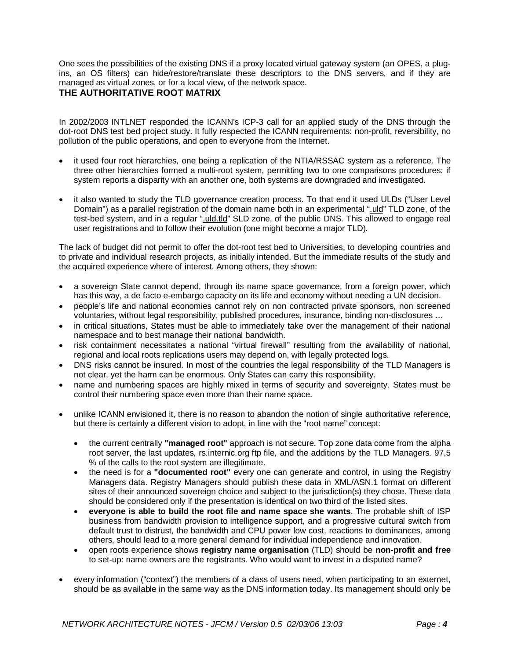One sees the possibilities of the existing DNS if a proxy located virtual gateway system (an OPES, a plugins, an OS filters) can hide/restore/translate these descriptors to the DNS servers, and if they are managed as virtual zones, or for a local view, of the network space.

## **THE AUTHORITATIVE ROOT MATRIX**

In 2002/2003 INTLNET responded the ICANN's ICP-3 call for an applied study of the DNS through the dot-root DNS test bed project study. It fully respected the ICANN requirements: non-profit, reversibility, no pollution of the public operations, and open to everyone from the Internet.

- it used four root hierarchies, one being a replication of the NTIA/RSSAC system as a reference. The three other hierarchies formed a multi-root system, permitting two to one comparisons procedures: if system reports a disparity with an another one, both systems are downgraded and investigated.
- it also wanted to study the TLD governance creation process. To that end it used ULDs ("User Level Domain") as a parallel registration of the domain name both in an experimental ".uld" TLD zone, of the test-bed system, and in a regular ".uld.tld" SLD zone, of the public DNS. This allowed to engage real user registrations and to follow their evolution (one might become a major TLD).

The lack of budget did not permit to offer the dot-root test bed to Universities, to developing countries and to private and individual research projects, as initially intended. But the immediate results of the study and the acquired experience where of interest. Among others, they shown:

- a sovereign State cannot depend, through its name space governance, from a foreign power, which has this way, a de facto e-embargo capacity on its life and economy without needing a UN decision.
- people's life and national economies cannot rely on non contracted private sponsors, non screened voluntaries, without legal responsibility, published procedures, insurance, binding non-disclosures …
- in critical situations, States must be able to immediately take over the management of their national namespace and to best manage their national bandwidth.
- risk containment necessitates a national "virtual firewall" resulting from the availability of national, regional and local roots replications users may depend on, with legally protected logs.
- DNS risks cannot be insured. In most of the countries the legal responsibility of the TLD Managers is not clear, yet the harm can be enormous. Only States can carry this responsibility.
- name and numbering spaces are highly mixed in terms of security and sovereignty. States must be control their numbering space even more than their name space.
- unlike ICANN envisioned it, there is no reason to abandon the notion of single authoritative reference, but there is certainly a different vision to adopt, in line with the "root name" concept:
	- the current centrally **"managed root"** approach is not secure. Top zone data come from the alpha root server, the last updates, rs.internic.org ftp file, and the additions by the TLD Managers. 97,5 % of the calls to the root system are illegitimate.
	- the need is for a **"documented root"** every one can generate and control, in using the Registry Managers data. Registry Managers should publish these data in XML/ASN.1 format on different sites of their announced sovereign choice and subject to the jurisdiction(s) they chose. These data should be considered only if the presentation is identical on two third of the listed sites.
	- **everyone is able to build the root file and name space she wants**. The probable shift of ISP business from bandwidth provision to intelligence support, and a progressive cultural switch from default trust to distrust, the bandwidth and CPU power low cost, reactions to dominances, among others, should lead to a more general demand for individual independence and innovation.
	- open roots experience shows **registry name organisation** (TLD) should be **non-profit and free** to set-up: name owners are the registrants. Who would want to invest in a disputed name?
- every information ("context") the members of a class of users need, when participating to an externet, should be as available in the same way as the DNS information today. Its management should only be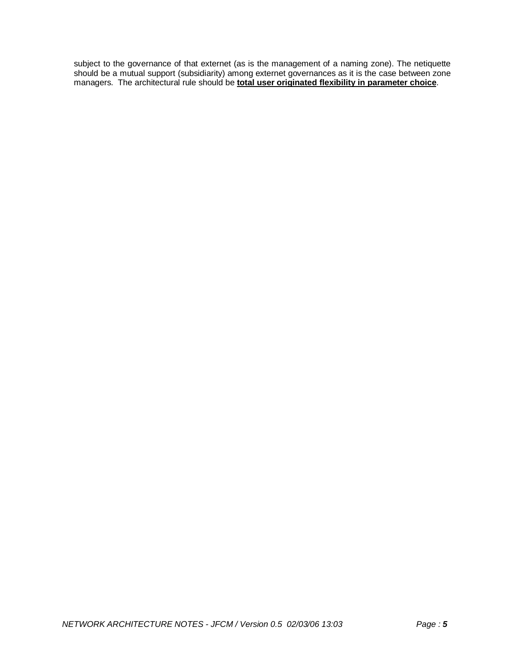subject to the governance of that externet (as is the management of a naming zone). The netiquette should be a mutual support (subsidiarity) among externet governances as it is the case between zone managers. The architectural rule should be **total user originated flexibility in parameter choice**.